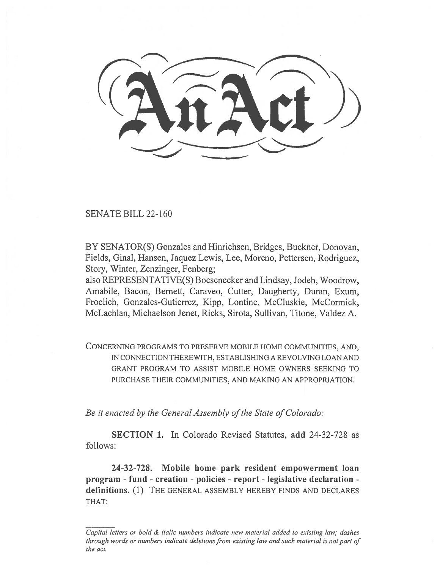SENATE BILL 22-160

BY SENATOR(S) Gonzales and Hinrichsen, Bridges, Buckner, Donovan, Fields, Ginal, Hansen, Jaquez Lewis, Lee, Moreno, Pettersen, Rodriguez, Story, Winter, Zenzinger, Fenberg;

also REPRESENTATIVE(S) Boesenecker and Lindsay, Jodeh, Woodrow, Amabile, Bacon, Bernett, Caraveo, Cutter, Daugherty, Duran, Exum, Froelich, Gonzales-Gutierrez, Kipp, Lontine, McCluskie, McCormick, McLachlan, Michaelson Jenet, Ricks, Sirota, Sullivan, Titone, Valdez A.

CONCERNING PROGRAMS TO PRESERVE MOBILE HOME COMMUNITIES, AND, IN CONNECTION THEREWITH, ESTABLISHING A REVOLVING LOAN AND GRANT PROGRAM TO ASSIST MOBILE HOME OWNERS SEEKING TO PURCHASE THEIR COMMUNITIES, AND MAKING AN APPROPRIATION.

Be it enacted by the General Assembly of the State of Colorado:

SECTION 1. In Colorado Revised Statutes, add 24-32-728 as follows:

24-32-728. Mobile home park resident empowerment loan program - fund - creation - policies - report - legislative declaration definitions. (1) THE GENERAL ASSEMBLY HEREBY FINDS AND DECLARES THAT:

Capital letters or bold & italic numbers indicate new material added to existing law; dashes through words or numbers indicate deletions from existing law and such material is not part of the act.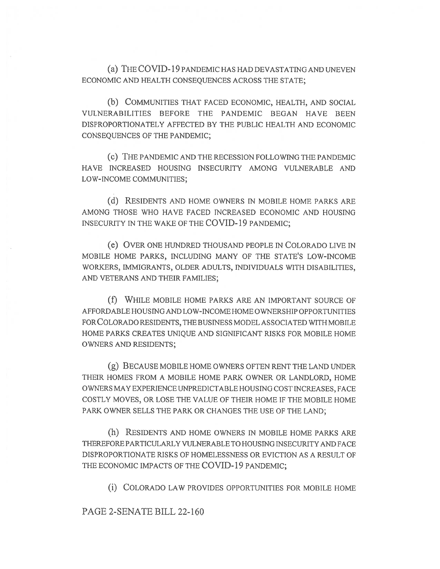(a) THE COVID-19 PANDEMIC HAS HAD DEVASTATING AND UNEVEN ECONOMIC AND HEALTH CONSEQUENCES ACROSS THE STATE;

(b) COMMUNITIES THAT FACED ECONOMIC, HEALTH, AND SOCIAL VULNERABILITIES BEFORE THE PANDEMIC BEGAN HAVE BEEN DISPROPORTIONATELY AFFECTED BY THE PUBLIC HEALTH AND ECONOMIC CONSEQUENCES OF THE PANDEMIC;

(c) THE PANDEMIC AND THE RECESSION FOLLOWING THE PANDEMIC HAVE INCREASED HOUSING INSECURITY AMONG VULNERABLE AND LOW-INCOME COMMUNITIES;

(d) RESIDENTS AND HOME OWNERS IN MOBILE HOME PARKS ARE AMONG THOSE WHO HAVE FACED INCREASED ECONOMIC AND HOUSING INSECURITY IN THE WAKE OF THE COVID-19 PANDEMIC;

(e) OVER ONE HUNDRED THOUSAND PEOPLE IN COLORADO LIVE IN MOBILE HOME PARKS, INCLUDING MANY OF THE STATE'S LOW-INCOME WORKERS, IMMIGRANTS, OLDER ADULTS, INDIVIDUALS WITH DISABILITIES, AND VETERANS AND THEIR FAMILIES;

(f) WHILE MOBILE HOME PARKS ARE AN IMPORTANT SOURCE OF AFFORDABLE HOUSING AND LOW-INCOME HOME OWNERSHIP OPPORTUNITIES FOR COLORADO RESIDENTS, THE BUSINESS MODEL ASSOCIATED WITH MOBILE HOME PARKS CREATES UNIQUE AND SIGNIFICANT RISKS FOR MOBILE HOME OWNERS AND RESIDENTS;

(g) BECAUSE MOBILE HOME OWNERS OFTEN RENT THE LAND UNDER THEIR HOMES FROM A MOBILE HOME PARK OWNER OR LANDLORD, HOME OWNERS MAY EXPERIENCE UNPREDICTABLE HOUSING COST INCREASES, FACE COSTLY MOVES, OR LOSE THE VALUE OF THEIR HOME IF THE MOBILE HOME PARK OWNER SELLS THE PARK OR CHANGES THE USE OF THE LAND;

(h) RESIDENTS AND HOME OWNERS IN MOBILE HOME PARKS ARE THEREFORE PARTICULARLY VULNERABLE TO HOUSING INSECURITY AND FACE DISPROPORTIONATE RISKS OF HOMELESSNESS OR EVICTION AS A RESULT OF THE ECONOMIC IMPACTS OF THE COVID-19 PANDEMIC;

(i) COLORADO LAW PROVIDES OPPORTUNITIES FOR MOBILE HOME

PAGE 2-SENATE BILL 22-160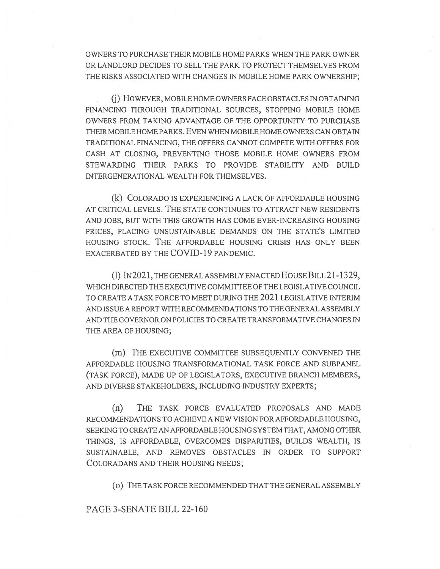OWNERS TO PURCHASE THEIR MOBILE HOME PARKS WHEN THE PARK OWNER OR LANDLORD DECIDES TO SELL THE PARK TO PROTECT THEMSELVES FROM THE RISKS ASSOCIATED WITH CHANGES IN MOBILE HOME PARK OWNERSHIP;

(j) HOWEVER, MOBILE HOME OWNERS FACE OBSTACLES IN OBTAINING FINANCING THROUGH TRADITIONAL SOURCES, STOPPING MOBILE HOME OWNERS FROM TAKING ADVANTAGE OF THE OPPORTUNITY TO PURCHASE THEIR MOBILE HOME PARKS. EVEN WHEN MOBILE HOME OWNERS CAN OBTAIN TRADITIONAL FINANCING, THE OFFERS CANNOT COMPETE WITH OFFERS FOR CASH AT CLOSING, PREVENTING THOSE MOBILE HOME OWNERS FROM STEWARDING THEIR PARKS TO PROVIDE STABILITY AND BUILD INTERGENERATIONAL WEALTH FOR THEMSELVES.

(k) COLORADO IS EXPERIENCING A LACK OF AFFORDABLE HOUSING AT CRITICAL LEVELS. THE STATE CONTINUES TO ATTRACT NEW RESIDENTS AND JOBS, BUT WITH THIS GROWTH HAS COME EVER-INCREASING HOUSING PRICES, PLACING UNSUSTAINABLE DEMANDS ON THE STATE'S LIMITED HOUSING STOCK. THE AFFORDABLE HOUSING CRISIS HAS ONLY BEEN EXACERBATED BY THE COVID-19 PANDEMIC.

(1) IN2021, THE GENERAL ASSEMBLY ENACTED HOUSE BILL 21-1329, WHICH DIRECTED THE EXECUTIVE COMMITTEE OF THE LEGISLATIVE COUNCIL TO CREATE A TASK FORCE TO MEET DURING THE 2021 LEGISLATIVE INTERIM AND ISSUE A REPORT WITH RECOMMENDATIONS TO THE GENERAL ASSEMBLY AND THE GOVERNOR ON POLICIES TO CREATE TRANSFORMATIVE CHANGES IN THE AREA OF HOUSING;

(m) THE EXECUTIVE COMMITTEE SUBSEQUENTLY CONVENED THE AFFORDABLE HOUSING TRANSFORMATIONAL TASK FORCE AND SUBPANEL (TASK FORCE), MADE UP OF LEGISLATORS, EXECUTIVE BRANCH MEMBERS, AND DIVERSE STAKEHOLDERS, INCLUDING INDUSTRY EXPERTS;

(n) THE TASK FORCE EVALUATED PROPOSALS AND MADE RECOMMENDATIONS TO ACHIEVE A NEW VISION FOR AFFORDABLE HOUSING, SEEKING TO CREATE AN AFFORDABLE HOUSING SYSTEM THAT, AMONG OTHER THINGS, IS AFFORDABLE, OVERCOMES DISPARITIES, BUILDS WEALTH, IS SUSTAINABLE, AND REMOVES OBSTACLES IN ORDER TO SUPPORT COLORADANS AND THEIR HOUSING NEEDS;

(0) THE TASK FORCE RECOMMENDED THAT THE GENERAL ASSEMBLY

## PAGE 3-SENATE BILL 22-160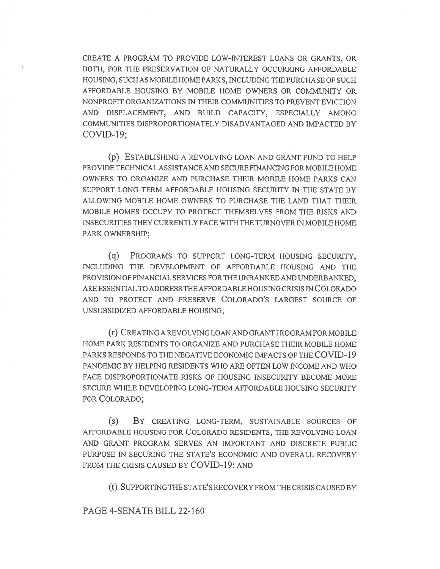CREATE A PROGRAM TO PROVIDE LOW-INTEREST LOANS OR GRANTS, OR BOTH, FOR THE PRESERVATION OF NATURALLY OCCURRING AFFORDABLE HOUSING, SUCH AS MOBILE HOME PARKS, INCLUDING THE PURCHASE OF SUCH AFFORDABLE HOUSING BY MOBILE HOME OWNERS OR COMMUNITY OR NONPROFIT ORGANIZATIONS IN THEIR COMMUNITIES TO PREVENT EVICTION AND DISPLACEMENT, AND BUILD CAPACITY, ESPECIALLY AMONG COMMUNITIES DISPROPORTIONATELY DISADVANTAGED AND IMPACTED BY COVID-19;

(p) ESTABLISHING A REVOLVING LOAN AND GRANT FUND TO HELP PROVIDE TECHNICAL ASSISTANCE AND SECURE FINANCING FOR MOBILE HOME OWNERS TO ORGANIZE AND PURCHASE THEIR MOBILE HOME PARKS CAN SUPPORT LONG-TERM AFFORDABLE HOUSING SECURITY IN THE STATE BY ALLOWING MOBILE HOME OWNERS TO PURCHASE THE LAND THAT THEIR MOBILE HOMES OCCUPY TO PROTECT THEMSELVES FROM THE RISKS AND INSECURITIES THEY CURRENTLY FACE WITH THE TURNOVER IN MOBILE HOME PARK OWNERSHIP;

(q) PROGRAMS TO SUPPORT LONG-TERM HOUSING SECURITY, INCLUDING THE DEVELOPMENT OF AFFORDABLE HOUSING AND THE PROVISION OF FINANCIAL SERVICES FOR THE UNBANKED AND UNDERBANKED, ARE ESSENTIAL TO ADDRESS THE AFFORDABLE HOUSING CRISIS IN COLORADO AND TO PROTECT AND PRESERVE COLORADO'S LARGEST SOURCE OF UNSUBSIDIZED AFFORDABLE HOUSING;

(r) CREATING A REVOLVING LOAN AND GRANT PROGRAM FOR MOBILE HOME PARK RESIDENTS TO ORGANIZE AND PURCHASE THEIR MOBILE HOME PARKS RESPONDS TO THE NEGATIVE ECONOMIC IMPACTS OF THE COVID-19 PANDEMIC BY HELPING RESIDENTS WHO ARE OFTEN LOW INCOME AND WHO FACE DISPROPORTIONATE RISKS OF HOUSING INSECURITY BECOME MORE SECURE WHILE DEVELOPING LONG-TERM AFFORDABLE HOUSING SECURITY FOR COLORADO;

(s) BY CREATING LONG-TERM, SUSTAINABLE SOURCES OF AFFORDABLE HOUSING FOR COLORADO RESIDENTS, THE REVOLVING LOAN AND GRANT PROGRAM SERVES AN IMPORTANT AND DISCRETE PUBLIC PURPOSE IN SECURING THE STATE'S ECONOMIC AND OVERALL RECOVERY FROM THE CRISIS CAUSED BY COVID-19; AND

(t) SUPPORTING THE STATE'S RECOVERY FROM THE CRISIS CAUSED BY

## PAGE 4-SENATE BILL 22-160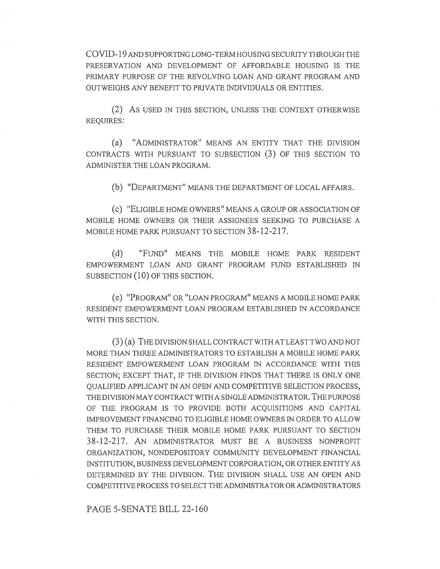COVID-19 AND SUPPORTING LONG-TERM HOUSING SECURITY THROUGH THE PRESERVATION AND DEVELOPMENT OF AFFORDABLE HOUSING IS THE PRIMARY PURPOSE OF THE REVOLVING LOAN AND GRANT PROGRAM AND OUTWEIGHS ANY BENEFIT TO PRIVATE INDIVIDUALS OR ENTITIES.

(2) AS USED IN THIS SECTION, UNLESS THE CONTEXT OTHERWISE REQUIRES:

(a) "ADMINISTRATOR" MEANS AN ENTITY THAT THE DIVISION CONTRACTS WITH PURSUANT TO SUBSECTION (3) OF THIS SECTION TO ADMINISTER THE LOAN PROGRAM.

(b) "DEPARTMENT" MEANS THE DEPARTMENT OF LOCAL AFFAIRS.

(c) "ELIGIBLE HOME OWNERS" MEANS A GROUP OR ASSOCIATION OF MOBILE HOME OWNERS OR THEIR ASSIGNEES SEEKING TO PURCHASE A MOBILE HOME PARK PURSUANT TO SECTION 38-12-217.

(d) "FUND" MEANS THE MOBILE HOME PARK RESIDENT EMPOWERMENT LOAN AND GRANT PROGRAM FUND ESTABLISHED IN SUBSECTION (10) OF THIS SECTION.

(e) "PROGRAM" OR "LOAN PROGRAM" MEANS A MOBILE HOME PARK RESIDENT EMPOWERMENT LOAN PROGRAM ESTABLISHED IN ACCORDANCE WITH THIS SECTION.

(3) (a) THE DIVISION SHALL CONTRACT WITH AT LEAST TWO AND NOT MORE THAN THREE ADMINISTRATORS TO ESTABLISH A MOBILE HOME PARK RESIDENT EMPOWERMENT LOAN PROGRAM IN ACCORDANCE WITH THIS SECTION; EXCEPT THAT, IF THE DIVISION FINDS THAT THERE IS ONLY ONE QUALIFIED APPLICANT IN AN OPEN AND COMPETITIVE SELECTION PROCESS, THE DIVISION MAY CONTRACT WITH A SINGLE ADMINISTRATOR. THE PURPOSE OF THE PROGRAM IS TO PROVIDE BOTH ACQUISITIONS AND CAPITAL IMPROVEMENT FINANCING TO ELIGIBLE HOME OWNERS IN ORDER TO ALLOW THEM TO PURCHASE THEIR MOBILE HOME PARK PURSUANT TO SECTION 38-12-217. AN ADMINISTRATOR MUST BE A BUSINESS NONPROFIT ORGANIZATION, NONDEPOSITORY COMMUNITY DEVELOPMENT FINANCIAL INSTITUTION, BUSINESS DEVELOPMENT CORPORATION, OR OTHER ENTITY AS DETERMINED BY THE DIVISION. THE DIVISION SHALL USE AN OPEN AND COMPETITIVE PROCESS TO SELECT THE ADMINISTRATOR OR ADMINISTRATORS

PAGE 5-SENATE BILL 22-160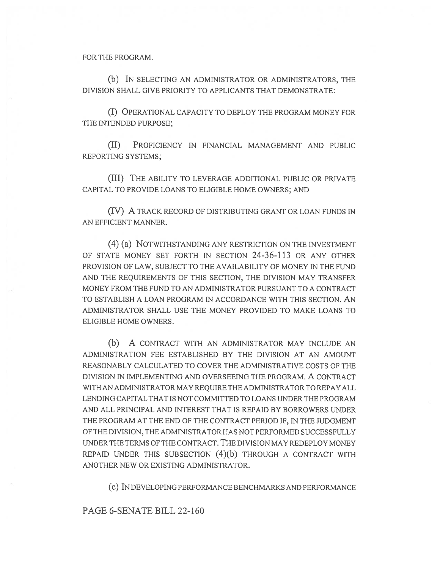FOR THE PROGRAM.

(b) IN SELECTING AN ADMINISTRATOR OR ADMINISTRATORS, THE DIVISION SHALL GIVE PRIORITY TO APPLICANTS THAT DEMONSTRATE:

(I) OPERATIONAL CAPACITY TO DEPLOY THE PROGRAM MONEY FOR THE INTENDED PURPOSE;

(II) PROFICIENCY IN FINANCIAL MANAGEMENT AND PUBLIC REPORTING SYSTEMS;

(III) THE ABILITY TO LEVERAGE ADDITIONAL PUBLIC OR PRIVATE CAPITAL TO PROVIDE LOANS TO ELIGIBLE HOME OWNERS; AND

(IV) A TRACK RECORD OF DISTRIBUTING GRANT OR LOAN FUNDS IN AN EFFICIENT MANNER.

(4) (a) NOTWITHSTANDING ANY RESTRICTION ON THE INVESTMENT OF STATE MONEY SET FORTH IN SECTION 24-36-113 OR ANY OTHER PROVISION OF LAW, SUBJECT TO THE AVAILABILITY OF MONEY IN THE FUND AND THE REQUIREMENTS OF THIS SECTION, THE DIVISION MAY TRANSFER MONEY FROM THE FUND TO AN ADMINISTRATOR PURSUANT TO A CONTRACT TO ESTABLISH A LOAN PROGRAM IN ACCORDANCE WITH THIS SECTION. AN ADMINISTRATOR SHALL USE THE MONEY PROVIDED TO MAKE LOANS TO ELIGIBLE HOME OWNERS.

(b) A CONTRACT WITH AN ADMINISTRATOR MAY INCLUDE AN ADMINISTRATION FEE ESTABLISHED BY THE DIVISION AT AN AMOUNT REASONABLY CALCULATED TO COVER THE ADMINISTRATIVE COSTS OF THE DIVISION IN IMPLEMENTING AND OVERSEEING THE PROGRAM. A CONTRACT WITH AN ADMINISTRATOR MAY REQUIRE THE ADMINISTRATOR TO REPAY ALL LENDING CAPITAL THAT IS NOT COMMITTED TO LOANS UNDER THE PROGRAM AND ALL PRINCIPAL AND INTEREST THAT IS REPAID BY BORROWERS UNDER THE PROGRAM AT THE END OF THE CONTRACT PERIOD IF, IN THE JUDGMENT OF THE DIVISION, THE ADMINISTRATOR HAS NOT PERFORMED SUCCESSFULLY UNDER THE TERMS OF THE CONTRACT. THE DIVISION MAY REDEPLOY MONEY REPAID UNDER THIS SUBSECTION (4)(b) THROUGH A CONTRACT WITH ANOTHER NEW OR EXISTING ADMINISTRATOR.

(c) IN DEVELOPING PERFORMANCE BENCHMARKS AND PERFORMANCE

PAGE 6-SENATE BILL 22-160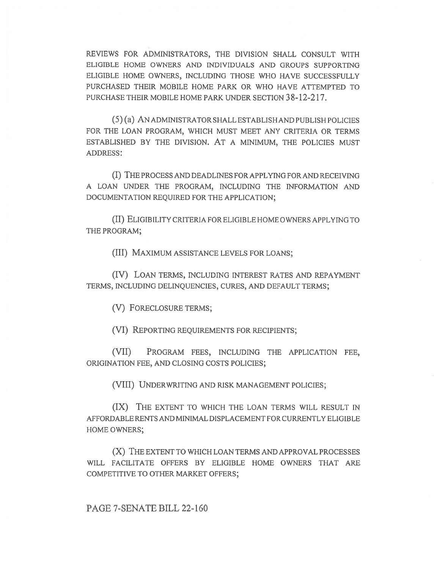REVIEWS FOR ADMINISTRATORS, THE DIVISION SHALL CONSULT WITH ELIGIBLE HOME OWNERS AND INDIVIDUALS AND GROUPS SUPPORTING ELIGIBLE HOME OWNERS, INCLUDING THOSE WHO HAVE SUCCESSFULLY PURCHASED THEIR MOBILE HOME PARK OR WHO HAVE ATTEMPTED TO PURCHASE THEIR MOBILE HOME PARK UNDER SECTION 38-12-217.

(5) (a) AN ADMINISTRATOR SHALL ESTABLISH AND PUBLISH POLICIES FOR THE LOAN PROGRAM, WHICH MUST MEET ANY CRITERIA OR TERMS ESTABLISHED BY THE DIVISION. AT A MINIMUM, THE POLICIES MUST ADDRESS:

(I) THE PROCESS AND DEADLINES FOR APPLYING FOR AND RECEIVING A LOAN UNDER THE PROGRAM, INCLUDING THE INFORMATION AND DOCUMENTATION REQUIRED FOR THE APPLICATION;

(II) ELIGIBILITY CRITERIA FOR ELIGIBLE HOME OWNERS APPLYING TO THE PROGRAM;

(III) MAXIMUM ASSISTANCE LEVELS FOR LOANS;

(IV) LOAN TERMS, INCLUDING INTEREST RATES AND REPAYMENT TERMS, INCLUDING DELINQUENCIES, CURES, AND DEFAULT TERMS;

(V) FORECLOSURE TERMS;

(VI) REPORTING REQUIREMENTS FOR RECIPIENTS;

(VII) PROGRAM FEES, INCLUDING THE APPLICATION FEE, ORIGINATION FEE, AND CLOSING COSTS POLICIES;

(VIII) UNDERWRITING AND RISK MANAGEMENT POLICIES;

(IX) THE EXTENT TO WHICH THE LOAN TERMS WILL RESULT IN AFFORDABLE RENTS AND MINIMAL DISPLACEMENT FOR CURRENTLY ELIGIBLE HOME OWNERS;

(X) THE EXTENT TO WHICH LOAN TERMS AND APPROVAL PROCESSES WILL FACILITATE OFFERS BY ELIGIBLE HOME OWNERS THAT ARE COMPETITIVE TO OTHER MARKET OFFERS;

PAGE 7-SENATE BILL 22-160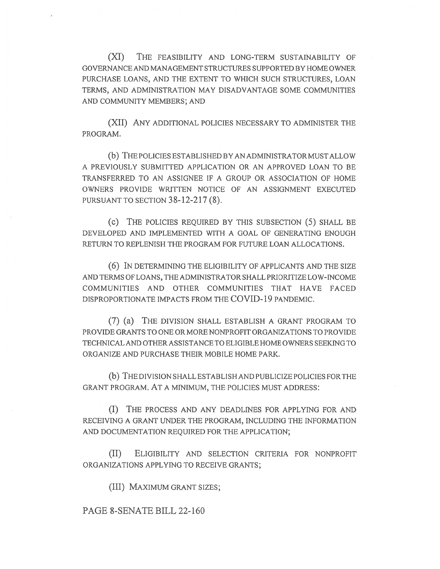(XI) THE FEASIBILITY AND LONG-TERM SUSTAINABILITY OF GOVERNANCE AND MANAGEMENT STRUCTURES SUPPORTED BY HOME OWNER PURCHASE LOANS, AND THE EXTENT TO WHICH SUCH STRUCTURES, LOAN TERMS, AND ADMINISTRATION MAY DISADVANTAGE SOME COMMUNITIES AND COMMUNITY MEMBERS; AND

(XII) ANY ADDITIONAL POLICIES NECESSARY TO ADMINISTER THE PROGRAM.

(b) THE POLICIES ESTABLISHED BY AN ADMINISTRATOR MUST ALLOW A PREVIOUSLY SUBMITTED APPLICATION OR AN APPROVED LOAN TO BE TRANSFERRED TO AN ASSIGNEE IF A GROUP OR ASSOCIATION OF HOME OWNERS PROVIDE WRITTEN NOTICE OF AN ASSIGNMENT EXECUTED PURSUANT TO SECTION 38-12-217 (8).

(c) THE POLICIES REQUIRED BY THIS SUBSECTION (5) SHALL BE DEVELOPED AND IMPLEMENTED WITH A GOAL OF GENERATING ENOUGH RETURN TO REPLENISH THE PROGRAM FOR FUTURE LOAN ALLOCATIONS.

(6) IN DETERMINING THE ELIGIBILITY OF APPLICANTS AND THE SIZE AND TERMS OF LOANS, THE ADMINISTRATOR SHALL PRIORITIZE LOW-INCOME COMMUNITIES AND OTHER COMMUNITIES THAT HAVE FACED DISPROPORTIONATE IMPACTS FROM THE COVID-19 PANDEMIC.

(7) (a) THE DIVISION SHALL ESTABLISH A GRANT PROGRAM TO PROVIDE GRANTS TO ONE OR MORE NONPROFIT ORGANIZATIONS TO PROVIDE TECHNICAL AND OTHER ASSISTANCE TO ELIGIBLE HOME OWNERS SEEKING TO ORGANIZE AND PURCHASE THEIR MOBILE HOME PARK.

(b) THE DIVISION SHALL ESTABLISH AND PUBLICIZE POLICIES FOR THE GRANT PROGRAM. AT A MINIMUM, THE POLICIES MUST ADDRESS:

(I) THE PROCESS AND ANY DEADLINES FOR APPLYING FOR AND RECEIVING A GRANT UNDER THE PROGRAM, INCLUDING THE INFORMATION AND DOCUMENTATION REQUIRED FOR THE APPLICATION;

(II) ELIGIBILITY AND SELECTION CRITERIA FOR NONPROFIT ORGANIZATIONS APPLYING TO RECEIVE GRANTS;

(III) MAXIMUM GRANT SIZES;

PAGE 8-SENATE BILL 22-160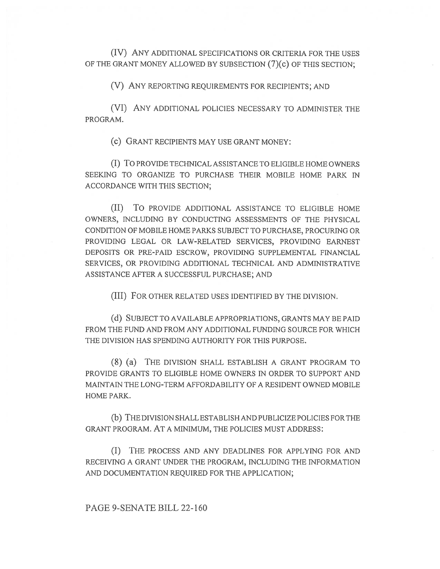(IV) ANY ADDITIONAL SPECIFICATIONS OR CRITERIA FOR THE USES OF THE GRANT MONEY ALLOWED BY SUBSECTION (7)(c) OF THIS SECTION;

(V) ANY REPORTING REQUIREMENTS FOR RECIPIENTS; AND

(VI) ANY ADDITIONAL POLICIES NECESSARY TO ADMINISTER THE PROGRAM.

(c) GRANT RECIPIENTS MAY USE GRANT MONEY:

(I) To PROVIDE TECHNICAL ASSISTANCE TO ELIGIBLE HOME OWNERS SEEKING TO ORGANIZE TO PURCHASE THEIR MOBILE HOME PARK IN ACCORDANCE WITH THIS SECTION;

(II) To PROVIDE ADDITIONAL ASSISTANCE TO ELIGIBLE HOME OWNERS, INCLUDING BY CONDUCTING ASSESSMENTS OF THE PHYSICAL CONDITION OF MOBILE HOME PARKS SUBJECT TO PURCHASE, PROCURING OR PROVIDING LEGAL OR LAW-RELATED SERVICES, PROVIDING EARNEST DEPOSITS OR PRE-PAID ESCROW, PROVIDING SUPPLEMENTAL FINANCIAL SERVICES, OR PROVIDING ADDITIONAL TECHNICAL AND ADMINISTRATIVE ASSISTANCE AFTER A SUCCESSFUL PURCHASE; AND

(III) FOR OTHER RELATED USES IDENTIFIED BY THE DIVISION.

(d) SUBJECT TO AVAILABLE APPROPRIATIONS, GRANTS MAY BE PAID FROM THE FUND AND FROM ANY ADDITIONAL FUNDING SOURCE FOR WHICH THE DIVISION HAS SPENDING AUTHORITY FOR THIS PURPOSE.

(8) (a) THE DIVISION SHALL ESTABLISH A GRANT PROGRAM TO PROVIDE GRANTS TO ELIGIBLE HOME OWNERS IN ORDER TO SUPPORT AND MAINTAIN THE LONG-TERM AFFORDABILITY OF A RESIDENT OWNED MOBILE HOME PARK.

(b) THE DIVISION SHALL ESTABLISH AND PUBLICIZE POLICIES FOR THE GRANT PROGRAM. AT A MINIMUM, THE POLICIES MUST ADDRESS:

(I) THE PROCESS AND ANY DEADLINES FOR APPLYING FOR AND RECEIVING A GRANT UNDER THE PROGRAM, INCLUDING THE INFORMATION AND DOCUMENTATION REQUIRED FOR THE APPLICATION;

PAGE 9-SENATE BILL 22-160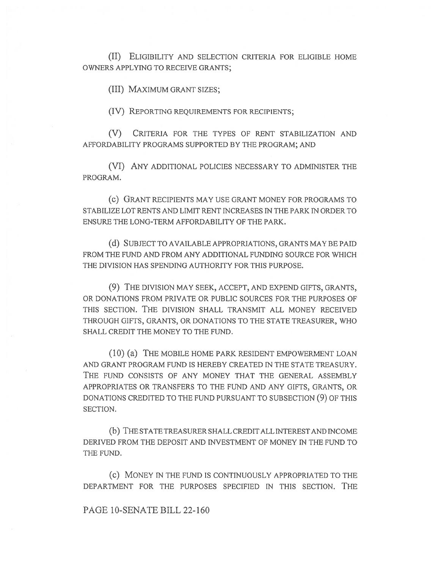(II) ELIGIBILITY AND SELECTION CRITERIA FOR ELIGIBLE HOME OWNERS APPLYING TO RECEIVE GRANTS;

(III) MAXIMUM GRANT SIZES;

(IV) REPORTING REQUIREMENTS FOR RECIPIENTS;

(V) CRITERIA FOR THE TYPES OF RENT STABILIZATION AND AFFORDABILITY PROGRAMS SUPPORTED BY THE PROGRAM; AND

(VI) ANY ADDITIONAL POLICIES NECESSARY TO ADMINISTER THE PROGRAM.

(C) GRANT RECIPIENTS MAY USE GRANT MONEY FOR PROGRAMS TO STABILIZE LOT RENTS AND LIMIT RENT INCREASES IN THE PARK IN ORDER TO ENSURE THE LONG-TERM AFFORDABILITY OF THE PARK.

(d) SUBJECT TO AVAILABLE APPROPRIATIONS, GRANTS MAY BE PAID FROM THE FUND AND FROM ANY ADDITIONAL FUNDING SOURCE FOR WHICH THE DIVISION HAS SPENDING AUTHORITY FOR THIS PURPOSE.

(9) THE DIVISION MAY SEEK, ACCEPT, AND EXPEND GIFTS, GRANTS, OR DONATIONS FROM PRIVATE OR PUBLIC SOURCES FOR THE PURPOSES OF THIS SECTION. THE DIVISION SHALL TRANSMIT ALL MONEY RECEIVED THROUGH GIFTS, GRANTS, OR DONATIONS TO THE STATE TREASURER, WHO SHALL CREDIT THE MONEY TO THE FUND.

(10) (a) THE MOBILE HOME PARK RESIDENT EMPOWERMENT LOAN AND GRANT PROGRAM FUND IS HEREBY CREATED IN THE STATE TREASURY. THE FUND CONSISTS OF ANY MONEY THAT THE GENERAL ASSEMBLY APPROPRIATES OR TRANSFERS TO THE FUND AND ANY GIFTS, GRANTS, OR DONATIONS CREDITED TO THE FUND PURSUANT TO SUBSECTION (9) OF THIS SECTION.

(b) THE STATE TREASURER SHALL CREDIT ALL INTEREST AND INCOME DERIVED FROM THE DEPOSIT AND INVESTMENT OF MONEY IN THE FUND TO THE FUND.

(c) MONEY IN THE FUND IS CONTINUOUSLY APPROPRIATED TO THE DEPARTMENT FOR THE PURPOSES SPECIFIED IN THIS SECTION. THE

PAGE 10-SENATE BILL 22-160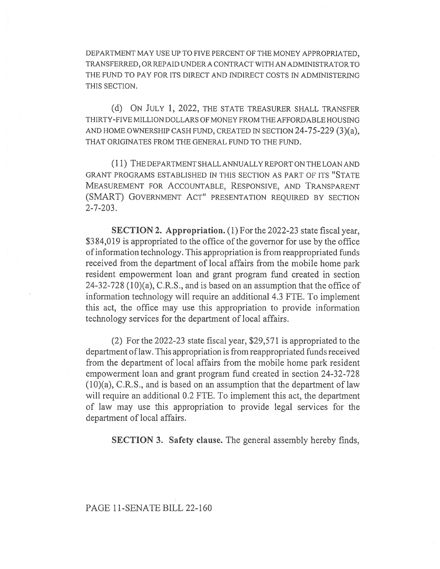DEPARTMENT MAY USE UP TO FIVE PERCENT OF THE MONEY APPROPRIATED, TRANSFERRED, OR REPAID UNDER A CONTRACT WITH AN ADMINISTRATOR TO THE FUND TO PAY FOR ITS DIRECT AND INDIRECT COSTS IN ADMINISTERING THIS SECTION.

(d) ON JULY 1, 2022, THE STATE TREASURER SHALL TRANSFER THIRTY-FIVE MILLION DOLLARS OF MONEY FROM THE AFFORDABLE HOUSING AND HOME OWNERSHIP CASH FUND, CREATED IN SECTION 24-75-229 (3)(a), THAT ORIGINATES FROM THE GENERAL FUND TO THE FUND.

(1 1) THE DEPARTMENT SHALL ANNUALLY REPORT ON THE LOAN AND GRANT PROGRAMS ESTABLISHED IN THIS SECTION AS PART OF ITS "STATE MEASUREMENT FOR ACCOUNTABLE, RESPONSIVE, AND TRANSPARENT (SMART) GOVERNMENT ACT" PRESENTATION REQUIRED BY SECTION 2-7-203.

SECTION 2. Appropriation. (1) For the 2022-23 state fiscal year, \$384,019 is appropriated to the office of the governor for use by the office of information technology. This appropriation is from reappropriated funds received from the department of local affairs from the mobile home park resident empowerment loan and grant program fund created in section 24-32-728 (10)(a), C.R.S., and is based on an assumption that the office of information technology will require an additional 4.3 FTE. To implement this act, the office may use this appropriation to provide information technology services for the department of local affairs.

(2) For the 2022-23 state fiscal year, \$29,571 is appropriated to the department of law. This appropriation is from reappropriated funds received from the department of local affairs from the mobile home park resident empowerment loan and grant program fund created in section 24-32-728 (10)(a), C.R.S., and is based on an assumption that the department of law will require an additional 0.2 FTE. To implement this act, the department of law may use this appropriation to provide legal services for the department of local affairs.

SECTION 3. Safety clause. The general assembly hereby finds,

PAGE 11-SENATE BILL 22-160